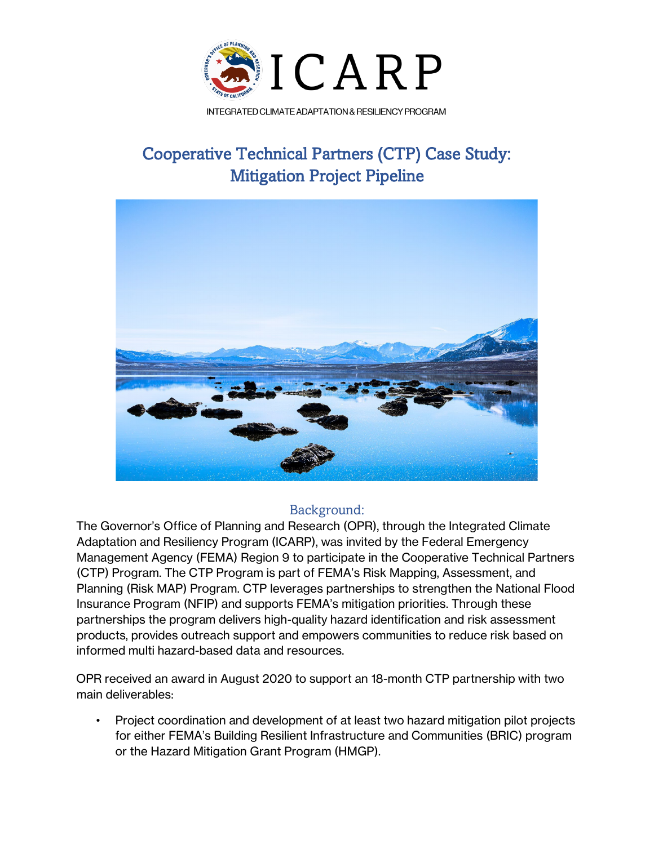

# Cooperative Technical Partners (CTP) Case Study: Mitigation Project Pipeline



# Background:

The Governor's Office of Planning and Research (OPR), through the Integrated Climate Adaptation and Resiliency Program (ICARP), was invited by the Federal Emergency Management Agency (FEMA) Region 9 to participate in the Cooperative Technical Partners (CTP) Program. The CTP Program is part of FEMA's Risk Mapping, Assessment, and Planning (Risk MAP) Program. CTP leverages partnerships to strengthen the National Flood Insurance Program (NFIP) and supports FEMA's mitigation priorities. Through these partnerships the program delivers high-quality hazard identification and risk assessment products, provides outreach support and empowers communities to reduce risk based on informed multi hazard-based data and resources.

OPR received an award in August 2020 to support an 18-month CTP partnership with two main deliverables:

• Project coordination and development of at least two hazard mitigation pilot projects for either FEMA's Building Resilient Infrastructure and Communities (BRIC) program or the Hazard Mitigation Grant Program (HMGP).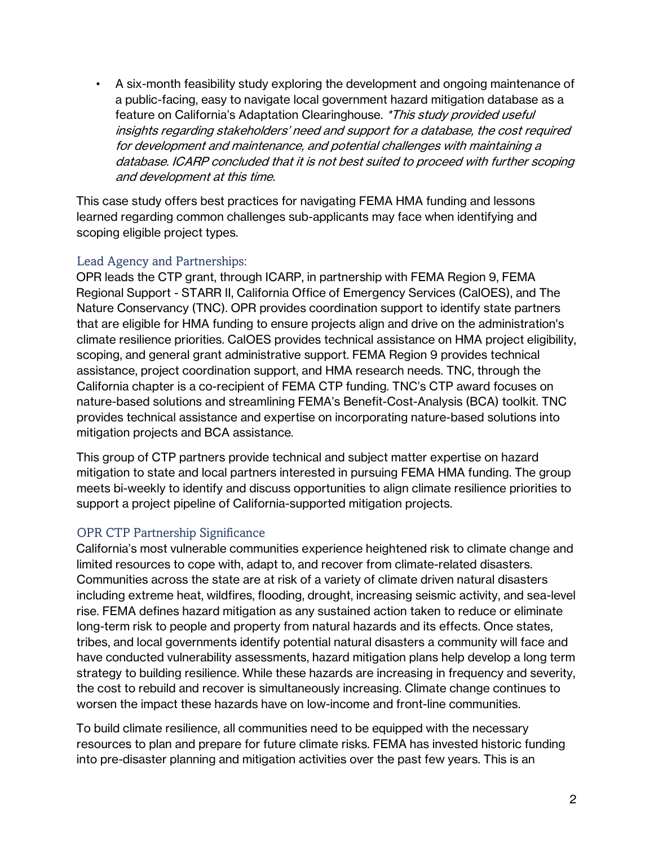• A six-month feasibility study exploring the development and ongoing maintenance of a public-facing, easy to navigate local government hazard mitigation database as a feature on California's Adaptation Clearinghouse. \*This study provided useful insights regarding stakeholders' need and support for a database, the cost required for development and maintenance, and potential challenges with maintaining a database. ICARP concluded that it is not best suited to proceed with further scoping and development at this time.

This case study offers best practices for navigating FEMA HMA funding and lessons learned regarding common challenges sub-applicants may face when identifying and scoping eligible project types.

# Lead Agency and Partnerships:

OPR leads the CTP grant, through ICARP, in partnership with FEMA Region 9, FEMA Regional Support - STARR II, California Office of Emergency Services (CalOES), and The Nature Conservancy (TNC). OPR provides coordination support to identify state partners that are eligible for HMA funding to ensure projects align and drive on the administration's climate resilience priorities. CalOES provides technical assistance on HMA project eligibility, scoping, and general grant administrative support. FEMA Region 9 provides technical assistance, project coordination support, and HMA research needs. TNC, through the California chapter is a co-recipient of FEMA CTP funding. TNC's CTP award focuses on nature-based solutions and streamlining FEMA's Benefit-Cost-Analysis (BCA) toolkit. TNC provides technical assistance and expertise on incorporating nature-based solutions into mitigation projects and BCA assistance.

This group of CTP partners provide technical and subject matter expertise on hazard mitigation to state and local partners interested in pursuing FEMA HMA funding. The group meets bi-weekly to identify and discuss opportunities to align climate resilience priorities to support a project pipeline of California-supported mitigation projects.

# OPR CTP Partnership Significance

California's most vulnerable communities experience heightened risk to climate change and limited resources to cope with, adapt to, and recover from climate-related disasters. Communities across the state are at risk of a variety of climate driven natural disasters including extreme heat, wildfires, flooding, drought, increasing seismic activity, and sea-level rise. FEMA defines hazard mitigation as any sustained action taken to reduce or eliminate long-term risk to people and property from natural hazards and its effects. Once states, tribes, and local governments identify potential natural disasters a community will face and have conducted vulnerability assessments, hazard mitigation plans help develop a long term strategy to building resilience. While these hazards are increasing in frequency and severity, the cost to rebuild and recover is simultaneously increasing. Climate change continues to worsen the impact these hazards have on low-income and front-line communities.

To build climate resilience, all communities need to be equipped with the necessary resources to plan and prepare for future climate risks. FEMA has invested historic funding into pre-disaster planning and mitigation activities over the past few years. This is an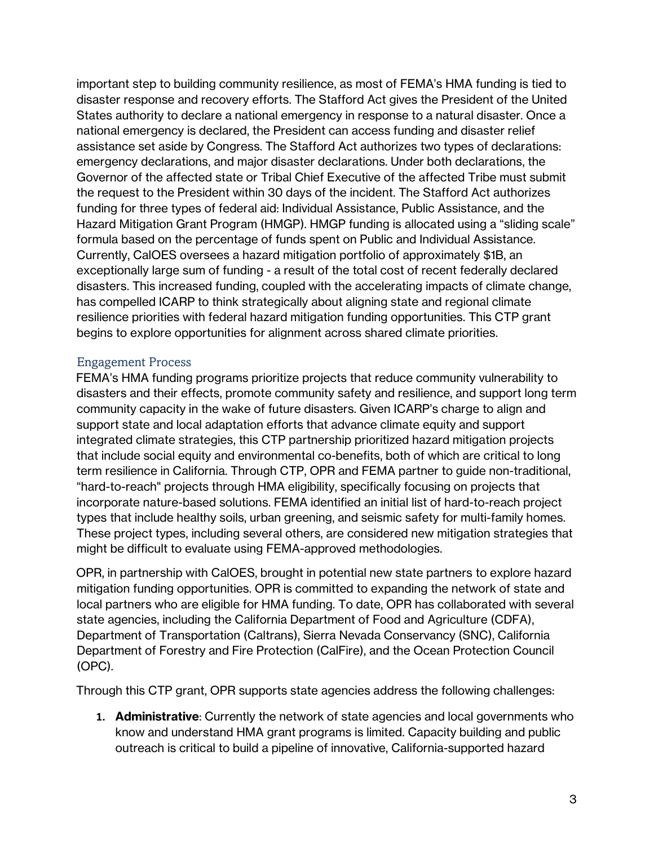important step to building community resilience, as most of FEMA's HMA funding is tied to disaster response and recovery efforts. The Stafford Act gives the President of the United States authority to declare a national emergency in response to a natural disaster. Once a national emergency is declared, the President can access funding and disaster relief assistance set aside by Congress. The Stafford Act authorizes two types of declarations: emergency declarations, and major disaster declarations. Under both declarations, the Governor of the affected state or Tribal Chief Executive of the affected Tribe must submit the request to the President within 30 days of the incident. The Stafford Act authorizes funding for three types of federal aid: Individual Assistance, Public Assistance, and the Hazard Mitigation Grant Program (HMGP). HMGP funding is allocated using a "sliding scale" formula based on the percentage of funds spent on Public and Individual Assistance. Currently, CalOES oversees a hazard mitigation portfolio of approximately \$1B, an exceptionally large sum of funding - a result of the total cost of recent federally declared disasters. This increased funding, coupled with the accelerating impacts of climate change, has compelled ICARP to think strategically about aligning state and regional climate resilience priorities with federal hazard mitigation funding opportunities. This CTP grant begins to explore opportunities for alignment across shared climate priorities.

# Engagement Process

FEMA's HMA funding programs prioritize projects that reduce community vulnerability to disasters and their effects, promote community safety and resilience, and support long term community capacity in the wake of future disasters. Given ICARP's charge to align and support state and local adaptation efforts that advance climate equity and support integrated climate strategies, this CTP partnership prioritized hazard mitigation projects that include social equity and environmental co-benefits, both of which are critical to long term resilience in California. Through CTP, OPR and FEMA partner to guide non-traditional, "hard-to-reach" projects through HMA eligibility, specifically focusing on projects that incorporate nature-based solutions. FEMA identified an initial list of hard-to-reach project types that include healthy soils, urban greening, and seismic safety for multi-family homes. These project types, including several others, are considered new mitigation strategies that might be difficult to evaluate using FEMA-approved methodologies.

OPR, in partnership with CalOES, brought in potential new state partners to explore hazard mitigation funding opportunities. OPR is committed to expanding the network of state and local partners who are eligible for HMA funding. To date, OPR has collaborated with several state agencies, including the California Department of Food and Agriculture (CDFA), Department of Transportation (Caltrans), Sierra Nevada Conservancy (SNC), California Department of Forestry and Fire Protection (CalFire), and the Ocean Protection Council (OPC).

Through this CTP grant, OPR supports state agencies address the following challenges:

**1. Administrative**: Currently the network of state agencies and local governments who know and understand HMA grant programs is limited. Capacity building and public outreach is critical to build a pipeline of innovative, California-supported hazard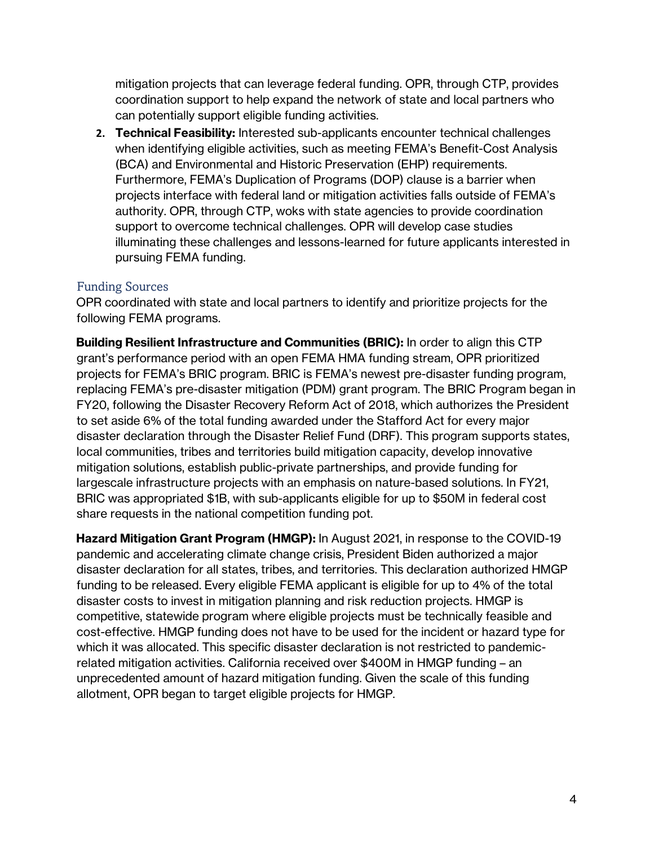mitigation projects that can leverage federal funding. OPR, through CTP, provides coordination support to help expand the network of state and local partners who can potentially support eligible funding activities.

**2. Technical Feasibility:** Interested sub-applicants encounter technical challenges when identifying eligible activities, such as meeting FEMA's Benefit-Cost Analysis (BCA) and Environmental and Historic Preservation (EHP) requirements. Furthermore, FEMA's Duplication of Programs (DOP) clause is a barrier when projects interface with federal land or mitigation activities falls outside of FEMA's authority. OPR, through CTP, woks with state agencies to provide coordination support to overcome technical challenges. OPR will develop case studies illuminating these challenges and lessons-learned for future applicants interested in pursuing FEMA funding.

# Funding Sources

OPR coordinated with state and local partners to identify and prioritize projects for the following FEMA programs.

**Building Resilient Infrastructure and Communities (BRIC):** In order to align this CTP grant's performance period with an open FEMA HMA funding stream, OPR prioritized projects for FEMA's BRIC program. BRIC is FEMA's newest pre-disaster funding program, replacing FEMA's pre-disaster mitigation (PDM) grant program. The BRIC Program began in FY20, following the Disaster Recovery Reform Act of 2018, which authorizes the President to set aside 6% of the total funding awarded under the Stafford Act for every major disaster declaration through the Disaster Relief Fund (DRF). This program supports states, local communities, tribes and territories build mitigation capacity, develop innovative mitigation solutions, establish public-private partnerships, and provide funding for largescale infrastructure projects with an emphasis on nature-based solutions. In FY21, BRIC was appropriated \$1B, with sub-applicants eligible for up to \$50M in federal cost share requests in the national competition funding pot.

**Hazard Mitigation Grant Program (HMGP):** In August 2021, in response to the COVID-19 pandemic and accelerating climate change crisis, President Biden authorized a major disaster declaration for all states, tribes, and territories. This declaration authorized HMGP funding to be released. Every eligible FEMA applicant is eligible for up to 4% of the total disaster costs to invest in mitigation planning and risk reduction projects. HMGP is competitive, statewide program where eligible projects must be technically feasible and cost-effective. HMGP funding does not have to be used for the incident or hazard type for which it was allocated. This specific disaster declaration is not restricted to pandemicrelated mitigation activities. California received over \$400M in HMGP funding – an unprecedented amount of hazard mitigation funding. Given the scale of this funding allotment, OPR began to target eligible projects for HMGP.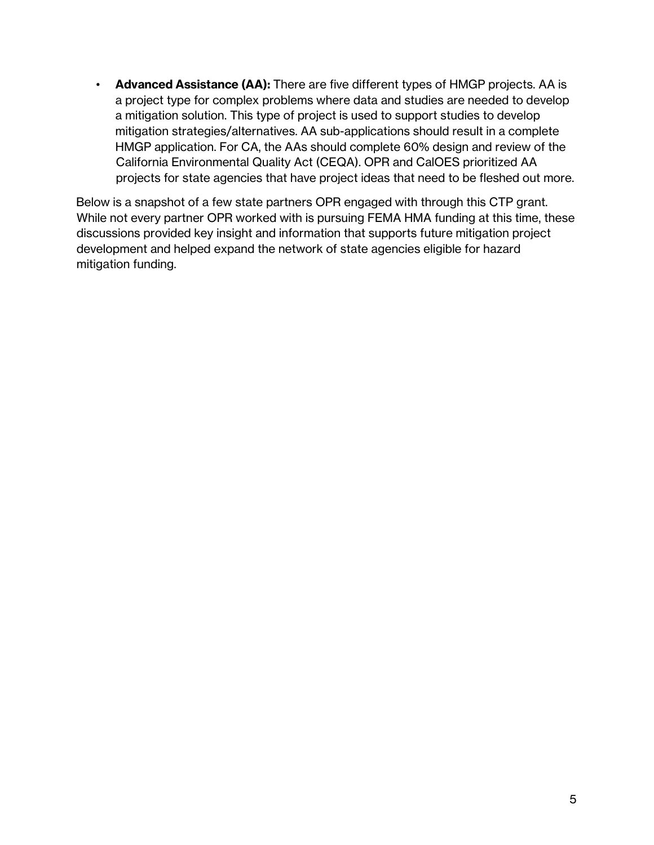• **Advanced Assistance (AA):** There are five different types of HMGP projects. AA is a project type for complex problems where data and studies are needed to develop a mitigation solution. This type of project is used to support studies to develop mitigation strategies/alternatives. AA sub-applications should result in a complete HMGP application. For CA, the AAs should complete 60% design and review of the California Environmental Quality Act (CEQA). OPR and CalOES prioritized AA projects for state agencies that have project ideas that need to be fleshed out more.

Below is a snapshot of a few state partners OPR engaged with through this CTP grant. While not every partner OPR worked with is pursuing FEMA HMA funding at this time, these discussions provided key insight and information that supports future mitigation project development and helped expand the network of state agencies eligible for hazard mitigation funding.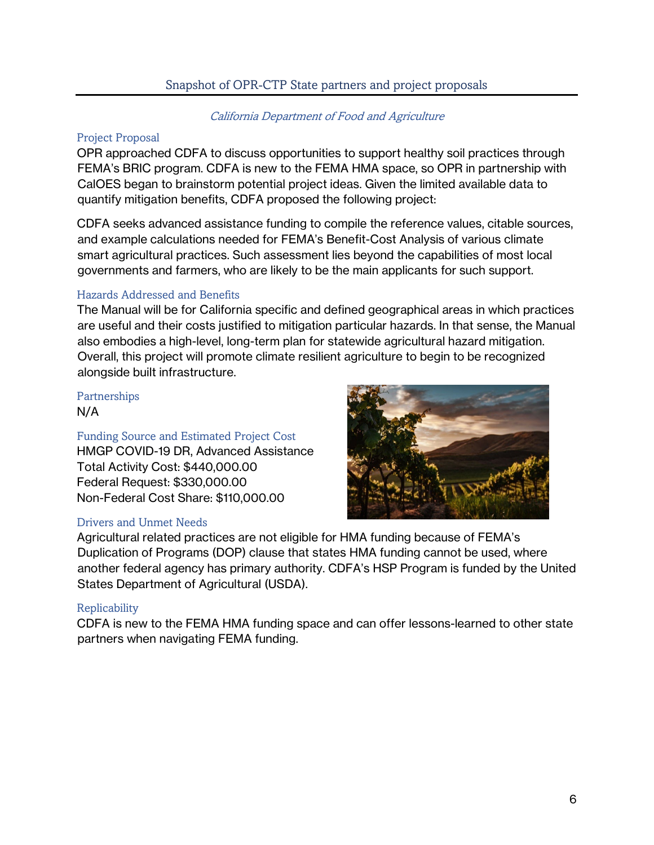# Snapshot of OPR-CTP State partners and project proposals

# California Department of Food and Agriculture

#### Project Proposal

OPR approached CDFA to discuss opportunities to support healthy soil practices through FEMA's BRIC program. CDFA is new to the FEMA HMA space, so OPR in partnership with CalOES began to brainstorm potential project ideas. Given the limited available data to quantify mitigation benefits, CDFA proposed the following project:

CDFA seeks advanced assistance funding to compile the reference values, citable sources, and example calculations needed for FEMA's Benefit-Cost Analysis of various climate smart agricultural practices. Such assessment lies beyond the capabilities of most local governments and farmers, who are likely to be the main applicants for such support.

# Hazards Addressed and Benefits

The Manual will be for California specific and defined geographical areas in which practices are useful and their costs justified to mitigation particular hazards. In that sense, the Manual also embodies a high-level, long-term plan for statewide agricultural hazard mitigation. Overall, this project will promote climate resilient agriculture to begin to be recognized alongside built infrastructure.

#### Partnerships N/A

Funding Source and Estimated Project Cost HMGP COVID-19 DR, Advanced Assistance Total Activity Cost: \$440,000.00 Federal Request: \$330,000.00 Non-Federal Cost Share: \$110,000.00

# Drivers and Unmet Needs



Agricultural related practices are not eligible for HMA funding because of FEMA's Duplication of Programs (DOP) clause that states HMA funding cannot be used, where another federal agency has primary authority. CDFA's HSP Program is funded by the United States Department of Agricultural (USDA).

# **Replicability**

CDFA is new to the FEMA HMA funding space and can offer lessons-learned to other state partners when navigating FEMA funding.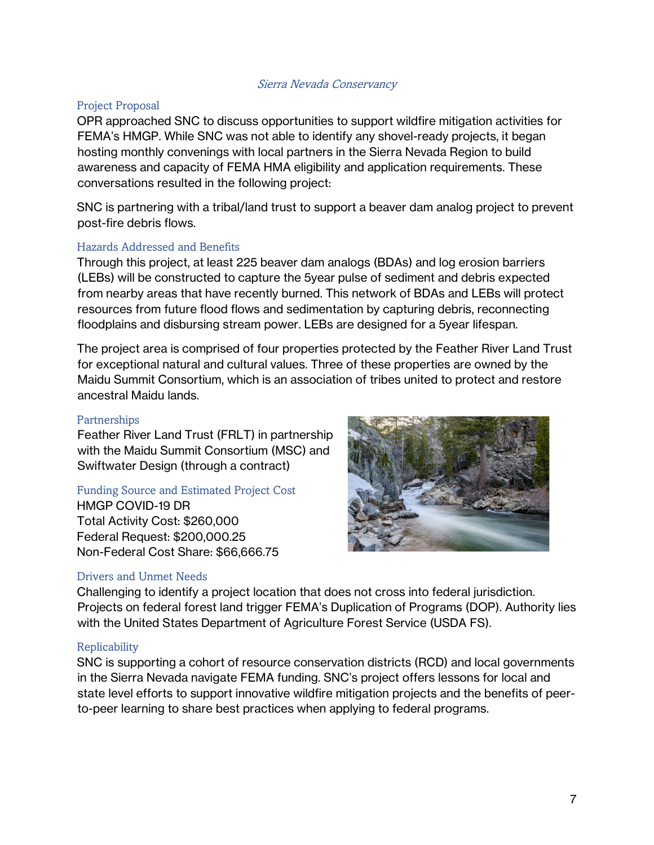#### Sierra Nevada Conservancy

#### Project Proposal

OPR approached SNC to discuss opportunities to support wildfire mitigation activities for FEMA's HMGP. While SNC was not able to identify any shovel-ready projects, it began hosting monthly convenings with local partners in the Sierra Nevada Region to build awareness and capacity of FEMA HMA eligibility and application requirements. These conversations resulted in the following project:

SNC is partnering with a tribal/land trust to support a beaver dam analog project to prevent post-fire debris flows.

#### Hazards Addressed and Benefits

Through this project, at least 225 beaver dam analogs (BDAs) and log erosion barriers (LEBs) will be constructed to capture the 5year pulse of sediment and debris expected from nearby areas that have recently burned. This network of BDAs and LEBs will protect resources from future flood flows and sedimentation by capturing debris, reconnecting floodplains and disbursing stream power. LEBs are designed for a 5year lifespan.

The project area is comprised of four properties protected by the Feather River Land Trust for exceptional natural and cultural values. Three of these properties are owned by the Maidu Summit Consortium, which is an association of tribes united to protect and restore ancestral Maidu lands.

#### **Partnerships**

Feather River Land Trust (FRLT) in partnership with the Maidu Summit Consortium (MSC) and Swiftwater Design (through a contract)

# Funding Source and Estimated Project Cost

HMGP COVID-19 DR Total Activity Cost: \$260,000 Federal Request: \$200,000.25 Non-Federal Cost Share: \$66,666.75

#### Drivers and Unmet Needs



Challenging to identify a project location that does not cross into federal jurisdiction. Projects on federal forest land trigger FEMA's Duplication of Programs (DOP). Authority lies with the United States Department of Agriculture Forest Service (USDA FS).

#### Replicability

SNC is supporting a cohort of resource conservation districts (RCD) and local governments in the Sierra Nevada navigate FEMA funding. SNC's project offers lessons for local and state level efforts to support innovative wildfire mitigation projects and the benefits of peerto-peer learning to share best practices when applying to federal programs.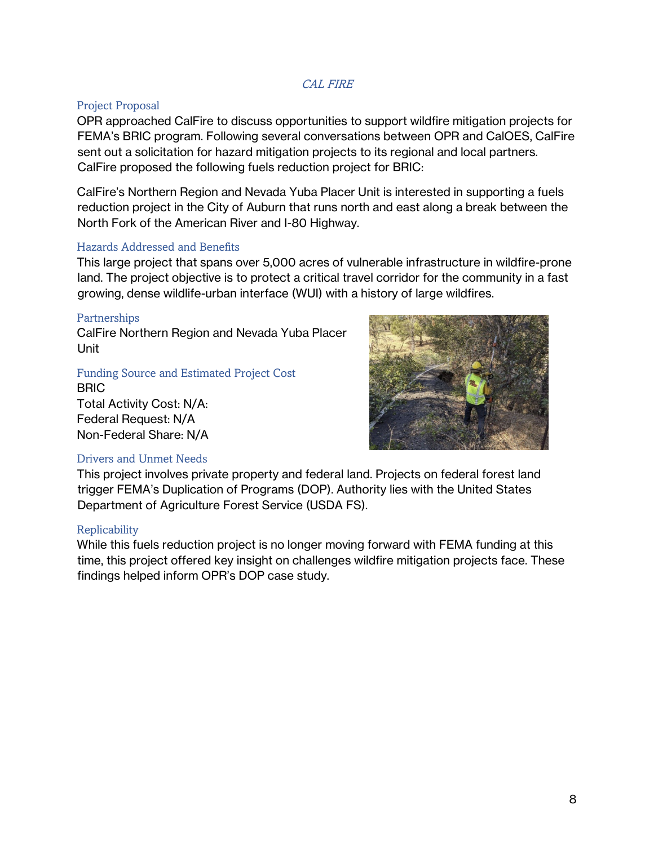#### CAL FIRE

#### Project Proposal

OPR approached CalFire to discuss opportunities to support wildfire mitigation projects for FEMA's BRIC program. Following several conversations between OPR and CalOES, CalFire sent out a solicitation for hazard mitigation projects to its regional and local partners. CalFire proposed the following fuels reduction project for BRIC:

CalFire's Northern Region and Nevada Yuba Placer Unit is interested in supporting a fuels reduction project in the City of Auburn that runs north and east along a break between the North Fork of the American River and I-80 Highway.

#### Hazards Addressed and Benefits

This large project that spans over 5,000 acres of vulnerable infrastructure in wildfire-prone land. The project objective is to protect a critical travel corridor for the community in a fast growing, dense wildlife-urban interface (WUI) with a history of large wildfires.

#### Partnerships

CalFire Northern Region and Nevada Yuba Placer Unit

Funding Source and Estimated Project Cost

BRIC Total Activity Cost: N/A: Federal Request: N/A Non-Federal Share: N/A



#### Drivers and Unmet Needs

This project involves private property and federal land. Projects on federal forest land trigger FEMA's Duplication of Programs (DOP). Authority lies with the United States Department of Agriculture Forest Service (USDA FS).

#### Replicability

While this fuels reduction project is no longer moving forward with FEMA funding at this time, this project offered key insight on challenges wildfire mitigation projects face. These findings helped inform OPR's DOP case study.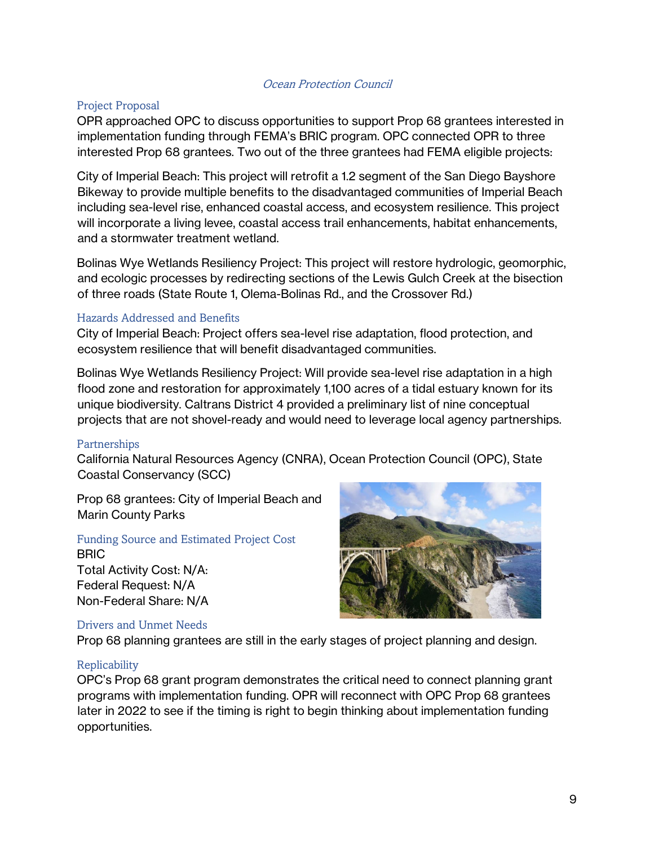#### Ocean Protection Council

#### Project Proposal

OPR approached OPC to discuss opportunities to support Prop 68 grantees interested in implementation funding through FEMA's BRIC program. OPC connected OPR to three interested Prop 68 grantees. Two out of the three grantees had FEMA eligible projects:

City of Imperial Beach: This project will retrofit a 1.2 segment of the San Diego Bayshore Bikeway to provide multiple benefits to the disadvantaged communities of Imperial Beach including sea-level rise, enhanced coastal access, and ecosystem resilience. This project will incorporate a living levee, coastal access trail enhancements, habitat enhancements, and a stormwater treatment wetland.

Bolinas Wye Wetlands Resiliency Project: This project will restore hydrologic, geomorphic, and ecologic processes by redirecting sections of the Lewis Gulch Creek at the bisection of three roads (State Route 1, Olema-Bolinas Rd., and the Crossover Rd.)

#### Hazards Addressed and Benefits

City of Imperial Beach: Project offers sea-level rise adaptation, flood protection, and ecosystem resilience that will benefit disadvantaged communities.

Bolinas Wye Wetlands Resiliency Project: Will provide sea-level rise adaptation in a high flood zone and restoration for approximately 1,100 acres of a tidal estuary known for its unique biodiversity. Caltrans District 4 provided a preliminary list of nine conceptual projects that are not shovel-ready and would need to leverage local agency partnerships.

#### Partnerships

California Natural Resources Agency (CNRA), Ocean Protection Council (OPC), State Coastal Conservancy (SCC)

Prop 68 grantees: City of Imperial Beach and Marin County Parks

# Funding Source and Estimated Project Cost BRIC

Total Activity Cost: N/A: Federal Request: N/A Non-Federal Share: N/A

#### Drivers and Unmet Needs

Prop 68 planning grantees are still in the early stages of project planning and design.

#### Replicability

OPC's Prop 68 grant program demonstrates the critical need to connect planning grant programs with implementation funding. OPR will reconnect with OPC Prop 68 grantees later in 2022 to see if the timing is right to begin thinking about implementation funding opportunities.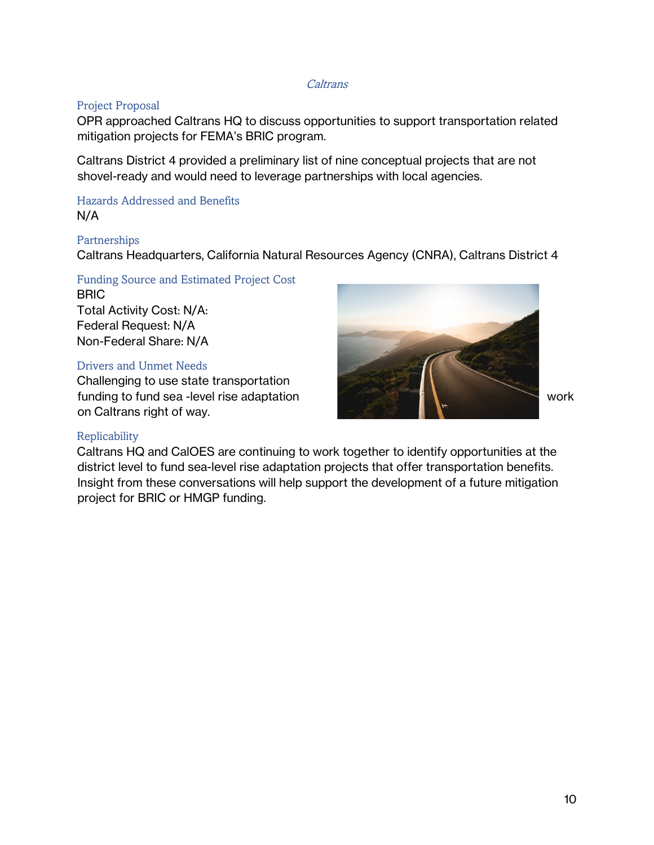#### **Caltrans**

#### Project Proposal

OPR approached Caltrans HQ to discuss opportunities to support transportation related mitigation projects for FEMA's BRIC program.

Caltrans District 4 provided a preliminary list of nine conceptual projects that are not shovel-ready and would need to leverage partnerships with local agencies.

Hazards Addressed and Benefits N/A

#### Partnerships

Caltrans Headquarters, California Natural Resources Agency (CNRA), Caltrans District 4

# Funding Source and Estimated Project Cost

**BRIC** Total Activity Cost: N/A: Federal Request: N/A Non-Federal Share: N/A

#### Drivers and Unmet Needs

Challenging to use state transportation funding to fund sea -level rise adaptation work on Caltrans right of way.



#### Replicability

Caltrans HQ and CalOES are continuing to work together to identify opportunities at the district level to fund sea-level rise adaptation projects that offer transportation benefits. Insight from these conversations will help support the development of a future mitigation project for BRIC or HMGP funding.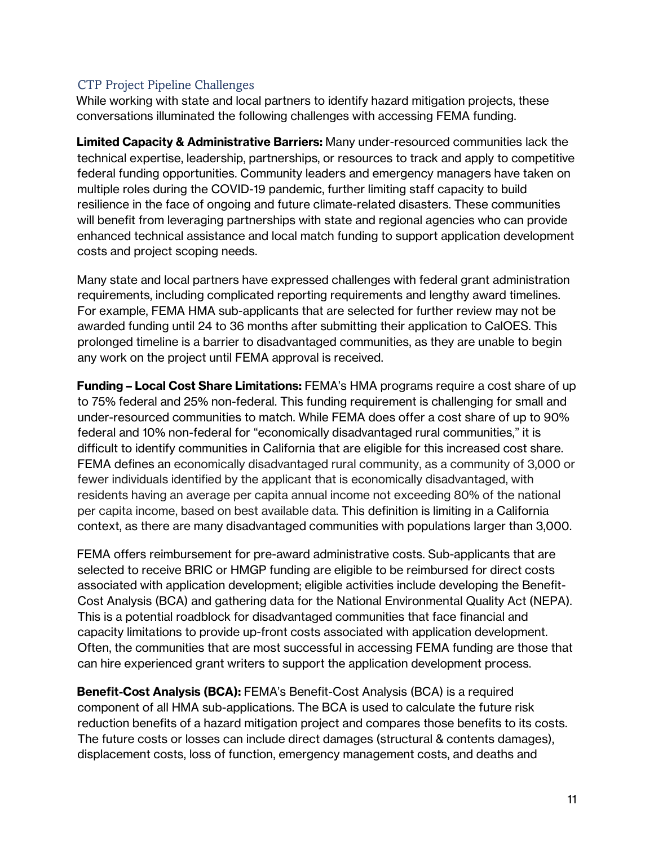# CTP Project Pipeline Challenges

While working with state and local partners to identify hazard mitigation projects, these conversations illuminated the following challenges with accessing FEMA funding.

**Limited Capacity & Administrative Barriers:** Many under-resourced communities lack the technical expertise, leadership, partnerships, or resources to track and apply to competitive federal funding opportunities. Community leaders and emergency managers have taken on multiple roles during the COVID-19 pandemic, further limiting staff capacity to build resilience in the face of ongoing and future climate-related disasters. These communities will benefit from leveraging partnerships with state and regional agencies who can provide enhanced technical assistance and local match funding to support application development costs and project scoping needs.

Many state and local partners have expressed challenges with federal grant administration requirements, including complicated reporting requirements and lengthy award timelines. For example, FEMA HMA sub-applicants that are selected for further review may not be awarded funding until 24 to 36 months after submitting their application to CalOES. This prolonged timeline is a barrier to disadvantaged communities, as they are unable to begin any work on the project until FEMA approval is received.

**Funding – Local Cost Share Limitations:** FEMA's HMA programs require a cost share of up to 75% federal and 25% non-federal. This funding requirement is challenging for small and under-resourced communities to match. While FEMA does offer a cost share of up to 90% federal and 10% non-federal for "economically disadvantaged rural communities," it is difficult to identify communities in California that are eligible for this increased cost share. FEMA defines an economically disadvantaged rural community, as a community of 3,000 or fewer individuals identified by the applicant that is economically disadvantaged, with residents having an average per capita annual income not exceeding 80% of the national per capita income, based on best available data. This definition is limiting in a California context, as there are many disadvantaged communities with populations larger than 3,000.

FEMA offers reimbursement for pre-award administrative costs. Sub-applicants that are selected to receive BRIC or HMGP funding are eligible to be reimbursed for direct costs associated with application development; eligible activities include developing the Benefit-Cost Analysis (BCA) and gathering data for the National Environmental Quality Act (NEPA). This is a potential roadblock for disadvantaged communities that face financial and capacity limitations to provide up-front costs associated with application development. Often, the communities that are most successful in accessing FEMA funding are those that can hire experienced grant writers to support the application development process.

**Benefit-Cost Analysis (BCA):** FEMA's Benefit-Cost Analysis (BCA) is a required component of all HMA sub-applications. The BCA is used to calculate the future risk reduction benefits of a hazard mitigation project and compares those benefits to its costs. The future costs or losses can include direct damages (structural & contents damages), displacement costs, loss of function, emergency management costs, and deaths and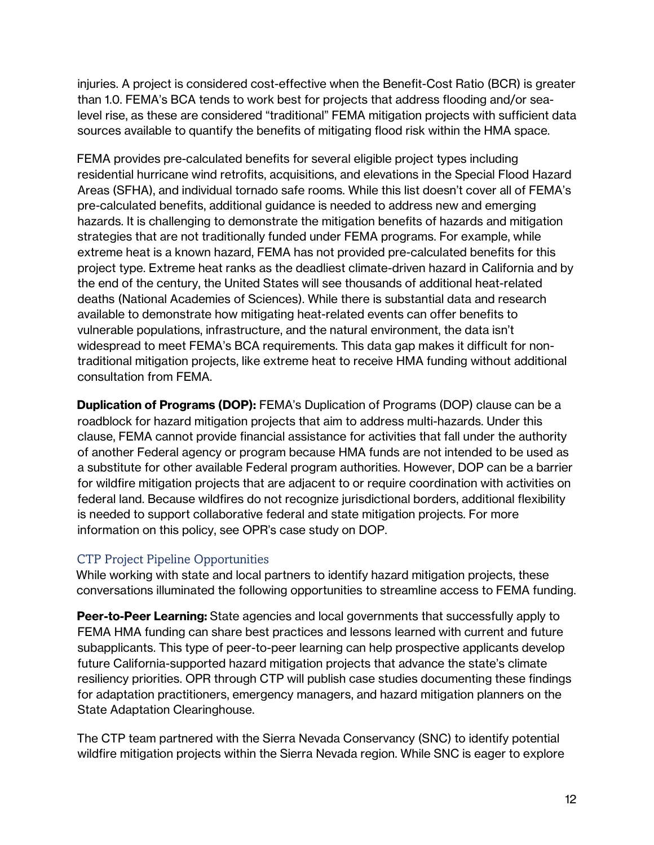injuries. A project is considered cost-effective when the Benefit-Cost Ratio (BCR) is greater than 1.0. FEMA's BCA tends to work best for projects that address flooding and/or sealevel rise, as these are considered "traditional" FEMA mitigation projects with sufficient data sources available to quantify the benefits of mitigating flood risk within the HMA space.

FEMA provides pre-calculated benefits for several eligible project types including residential hurricane wind retrofits, acquisitions, and elevations in the Special Flood Hazard Areas (SFHA), and individual tornado safe rooms. While this list doesn't cover all of FEMA's pre-calculated benefits, additional guidance is needed to address new and emerging hazards. It is challenging to demonstrate the mitigation benefits of hazards and mitigation strategies that are not traditionally funded under FEMA programs. For example, while extreme heat is a known hazard, FEMA has not provided pre-calculated benefits for this project type. Extreme heat ranks as the deadliest climate-driven hazard in California and by the end of the century, the United States will see thousands of additional heat-related deaths (National Academies of Sciences). While there is substantial data and research available to demonstrate how mitigating heat-related events can offer benefits to vulnerable populations, infrastructure, and the natural environment, the data isn't widespread to meet FEMA's BCA requirements. This data gap makes it difficult for nontraditional mitigation projects, like extreme heat to receive HMA funding without additional consultation from FEMA.

**Duplication of Programs (DOP):** FEMA's Duplication of Programs (DOP) clause can be a roadblock for hazard mitigation projects that aim to address multi-hazards. Under this clause, FEMA cannot provide financial assistance for activities that fall under the authority of another Federal agency or program because HMA funds are not intended to be used as a substitute for other available Federal program authorities. However, DOP can be a barrier for wildfire mitigation projects that are adjacent to or require coordination with activities on federal land. Because wildfires do not recognize jurisdictional borders, additional flexibility is needed to support collaborative federal and state mitigation projects. For more information on this policy, see OPR's case study on DOP.

# CTP Project Pipeline Opportunities

While working with state and local partners to identify hazard mitigation projects, these conversations illuminated the following opportunities to streamline access to FEMA funding.

**Peer-to-Peer Learning:** State agencies and local governments that successfully apply to FEMA HMA funding can share best practices and lessons learned with current and future subapplicants. This type of peer-to-peer learning can help prospective applicants develop future California-supported hazard mitigation projects that advance the state's climate resiliency priorities. OPR through CTP will publish case studies documenting these findings for adaptation practitioners, emergency managers, and hazard mitigation planners on the State Adaptation Clearinghouse.

The CTP team partnered with the Sierra Nevada Conservancy (SNC) to identify potential wildfire mitigation projects within the Sierra Nevada region. While SNC is eager to explore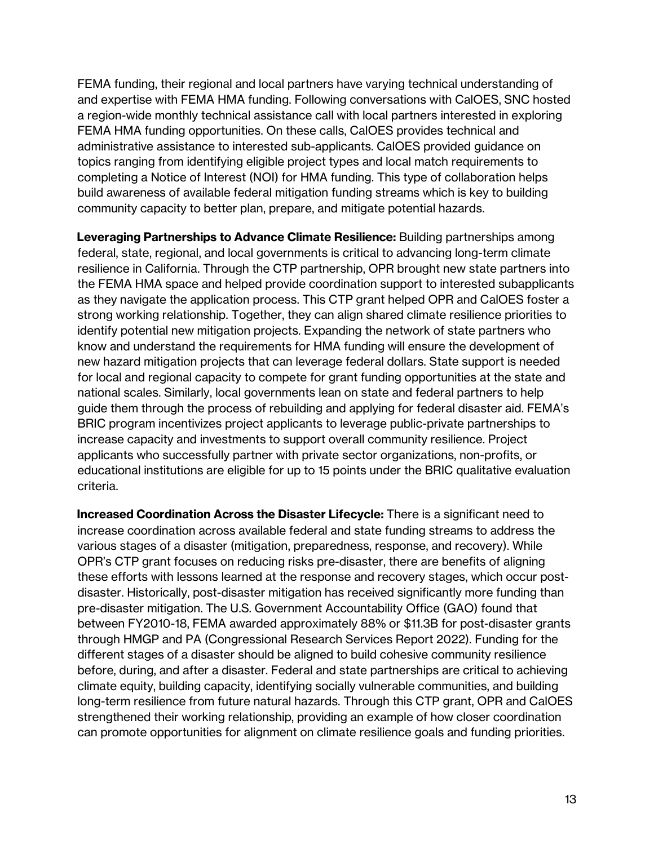FEMA funding, their regional and local partners have varying technical understanding of and expertise with FEMA HMA funding. Following conversations with CalOES, SNC hosted a region-wide monthly technical assistance call with local partners interested in exploring FEMA HMA funding opportunities. On these calls, CalOES provides technical and administrative assistance to interested sub-applicants. CalOES provided guidance on topics ranging from identifying eligible project types and local match requirements to completing a Notice of Interest (NOI) for HMA funding. This type of collaboration helps build awareness of available federal mitigation funding streams which is key to building community capacity to better plan, prepare, and mitigate potential hazards.

**Leveraging Partnerships to Advance Climate Resilience:** Building partnerships among federal, state, regional, and local governments is critical to advancing long-term climate resilience in California. Through the CTP partnership, OPR brought new state partners into the FEMA HMA space and helped provide coordination support to interested subapplicants as they navigate the application process. This CTP grant helped OPR and CalOES foster a strong working relationship. Together, they can align shared climate resilience priorities to identify potential new mitigation projects. Expanding the network of state partners who know and understand the requirements for HMA funding will ensure the development of new hazard mitigation projects that can leverage federal dollars. State support is needed for local and regional capacity to compete for grant funding opportunities at the state and national scales. Similarly, local governments lean on state and federal partners to help guide them through the process of rebuilding and applying for federal disaster aid. FEMA's BRIC program incentivizes project applicants to leverage public-private partnerships to increase capacity and investments to support overall community resilience. Project applicants who successfully partner with private sector organizations, non-profits, or educational institutions are eligible for up to 15 points under the BRIC qualitative evaluation criteria.

**Increased Coordination Across the Disaster Lifecycle:** There is a significant need to increase coordination across available federal and state funding streams to address the various stages of a disaster (mitigation, preparedness, response, and recovery). While OPR's CTP grant focuses on reducing risks pre-disaster, there are benefits of aligning these efforts with lessons learned at the response and recovery stages, which occur postdisaster. Historically, post-disaster mitigation has received significantly more funding than pre-disaster mitigation. The U.S. Government Accountability Office (GAO) found that between FY2010-18, FEMA awarded approximately 88% or \$11.3B for post-disaster grants through HMGP and PA (Congressional Research Services Report 2022). Funding for the different stages of a disaster should be aligned to build cohesive community resilience before, during, and after a disaster. Federal and state partnerships are critical to achieving climate equity, building capacity, identifying socially vulnerable communities, and building long-term resilience from future natural hazards. Through this CTP grant, OPR and CalOES strengthened their working relationship, providing an example of how closer coordination can promote opportunities for alignment on climate resilience goals and funding priorities.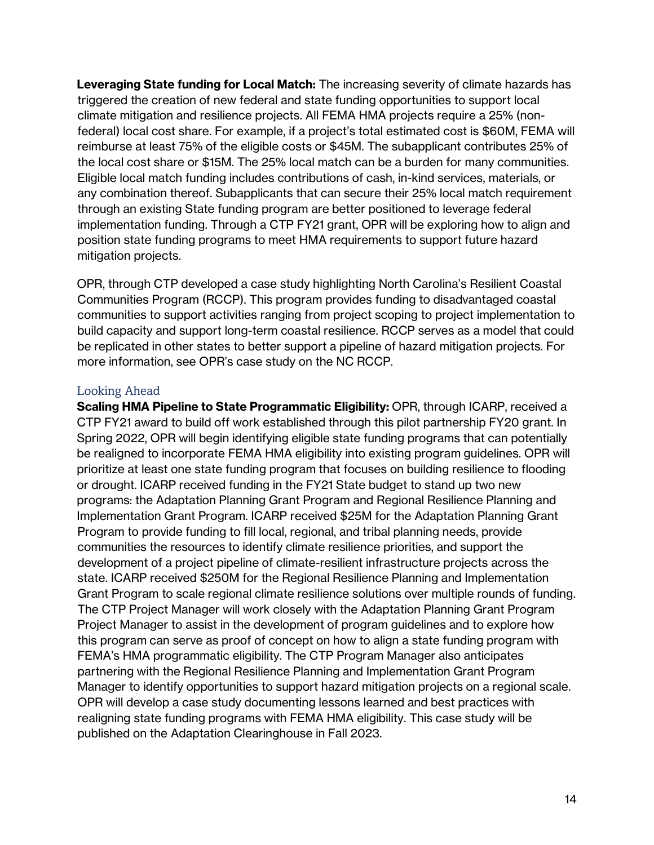**Leveraging State funding for Local Match:** The increasing severity of climate hazards has triggered the creation of new federal and state funding opportunities to support local climate mitigation and resilience projects. All FEMA HMA projects require a 25% (nonfederal) local cost share. For example, if a project's total estimated cost is \$60M, FEMA will reimburse at least 75% of the eligible costs or \$45M. The subapplicant contributes 25% of the local cost share or \$15M. The 25% local match can be a burden for many communities. Eligible local match funding includes contributions of cash, in-kind services, materials, or any combination thereof. Subapplicants that can secure their 25% local match requirement through an existing State funding program are better positioned to leverage federal implementation funding. Through a CTP FY21 grant, OPR will be exploring how to align and position state funding programs to meet HMA requirements to support future hazard mitigation projects.

OPR, through CTP developed a case study highlighting North Carolina's Resilient Coastal Communities Program (RCCP). This program provides funding to disadvantaged coastal communities to support activities ranging from project scoping to project implementation to build capacity and support long-term coastal resilience. RCCP serves as a model that could be replicated in other states to better support a pipeline of hazard mitigation projects. For more information, see OPR's case study on the NC RCCP.

#### Looking Ahead

**Scaling HMA Pipeline to State Programmatic Eligibility:** OPR, through ICARP, received a CTP FY21 award to build off work established through this pilot partnership FY20 grant. In Spring 2022, OPR will begin identifying eligible state funding programs that can potentially be realigned to incorporate FEMA HMA eligibility into existing program guidelines. OPR will prioritize at least one state funding program that focuses on building resilience to flooding or drought. ICARP received funding in the FY21 State budget to stand up two new programs: the Adaptation Planning Grant Program and Regional Resilience Planning and Implementation Grant Program. ICARP received \$25M for the Adaptation Planning Grant Program to provide funding to fill local, regional, and tribal planning needs, provide communities the resources to identify climate resilience priorities, and support the development of a project pipeline of climate-resilient infrastructure projects across the state. ICARP received \$250M for the Regional Resilience Planning and Implementation Grant Program to scale regional climate resilience solutions over multiple rounds of funding. The CTP Project Manager will work closely with the Adaptation Planning Grant Program Project Manager to assist in the development of program guidelines and to explore how this program can serve as proof of concept on how to align a state funding program with FEMA's HMA programmatic eligibility. The CTP Program Manager also anticipates partnering with the Regional Resilience Planning and Implementation Grant Program Manager to identify opportunities to support hazard mitigation projects on a regional scale. OPR will develop a case study documenting lessons learned and best practices with realigning state funding programs with FEMA HMA eligibility. This case study will be published on the Adaptation Clearinghouse in Fall 2023.